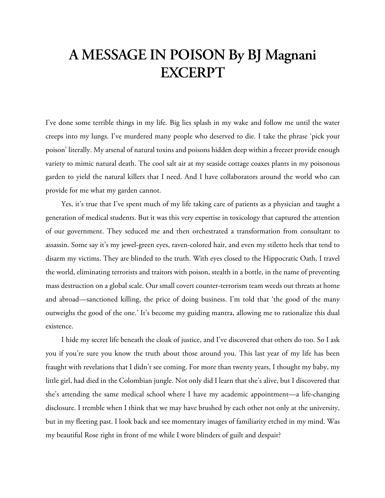## **A MESSAGE IN POISON By BJ Magnani EXCERPT**

I've done some terrible things in my life. Big lies splash in my wake and follow me until the water creeps into my lungs. I've murdered many people who deserved to die. I take the phrase 'pick your poison' literally. My arsenal of natural toxins and poisons hidden deep within a freezer provide enough variety to mimic natural death. The cool salt air at my seaside cottage coaxes plants in my poisonous garden to yield the natural killers that I need. And I have collaborators around the world who can provide for me what my garden cannot.

Yes, it's true that I've spent much of my life taking care of patients as a physician and taught a generation of medical students. But it was this very expertise in toxicology that captured the attention of our government. They seduced me and then orchestrated a transformation from consultant to assassin. Some say it's my jewel-green eyes, raven-colored hair, and even my stiletto heels that tend to disarm my victims. They are blinded to the truth. With eyes closed to the Hippocratic Oath, I travel the world, eliminating terrorists and traitors with poison, stealth in a bottle, in the name of preventing mass destruction on a global scale. Our small covert counter-terrorism team weeds out threats at home and abroad—sanctioned killing, the price of doing business. I'm told that 'the good of the many outweighs the good of the one.' It's become my guiding mantra, allowing me to rationalize this dual existence.

I hide my secret life beneath the cloak of justice, and I've discovered that others do too. So I ask you if you're sure you know the truth about those around you. This last year of my life has been fraught with revelations that I didn't see coming. For more than twenty years, I thought my baby, my little girl, had died in the Colombian jungle. Not only did I learn that she's alive, but I discovered that she's attending the same medical school where I have my academic appointment—a life-changing disclosure. I tremble when I think that we may have brushed by each other not only at the university, but in my fleeting past. I look back and see momentary images of familiarity etched in my mind. Was my beautiful Rose right in front of me while I wore blinders of guilt and despair?